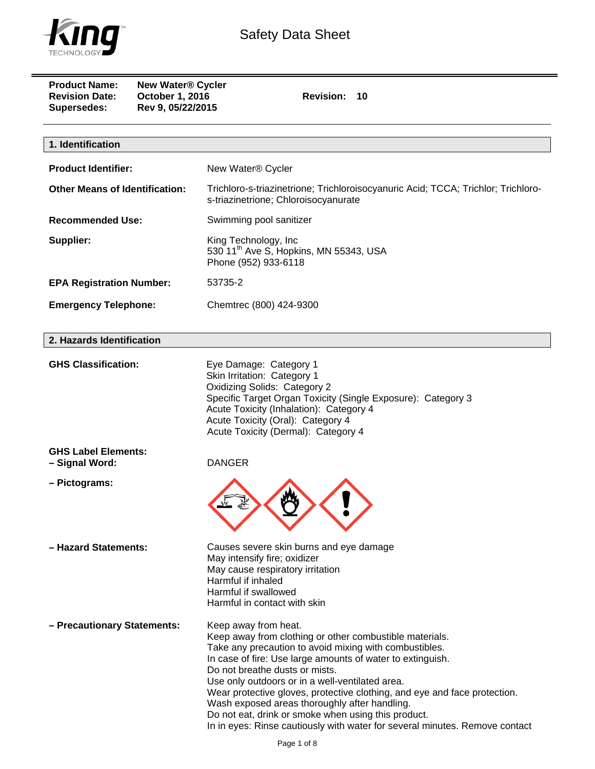

| <b>Product Name:</b><br><b>New Water® Cycler</b><br>October 1, 2016<br><b>Revision Date:</b><br>Rev 9, 05/22/2015<br><b>Supersedes:</b> | Revision: 10                                                                                                                                                                                                                                                                                                                                                                                                                                                                                                                                                     |  |
|-----------------------------------------------------------------------------------------------------------------------------------------|------------------------------------------------------------------------------------------------------------------------------------------------------------------------------------------------------------------------------------------------------------------------------------------------------------------------------------------------------------------------------------------------------------------------------------------------------------------------------------------------------------------------------------------------------------------|--|
| 1. Identification                                                                                                                       |                                                                                                                                                                                                                                                                                                                                                                                                                                                                                                                                                                  |  |
| <b>Product Identifier:</b>                                                                                                              | New Water® Cycler                                                                                                                                                                                                                                                                                                                                                                                                                                                                                                                                                |  |
| <b>Other Means of Identification:</b>                                                                                                   | Trichloro-s-triazinetrione; Trichloroisocyanuric Acid; TCCA; Trichlor; Trichloro-<br>s-triazinetrione; Chloroisocyanurate                                                                                                                                                                                                                                                                                                                                                                                                                                        |  |
| <b>Recommended Use:</b>                                                                                                                 | Swimming pool sanitizer                                                                                                                                                                                                                                                                                                                                                                                                                                                                                                                                          |  |
| Supplier:                                                                                                                               | King Technology, Inc<br>530 11 <sup>th</sup> Ave S, Hopkins, MN 55343, USA<br>Phone (952) 933-6118                                                                                                                                                                                                                                                                                                                                                                                                                                                               |  |
| <b>EPA Registration Number:</b>                                                                                                         | 53735-2                                                                                                                                                                                                                                                                                                                                                                                                                                                                                                                                                          |  |
| <b>Emergency Telephone:</b>                                                                                                             | Chemtrec (800) 424-9300                                                                                                                                                                                                                                                                                                                                                                                                                                                                                                                                          |  |
| 2. Hazards Identification                                                                                                               |                                                                                                                                                                                                                                                                                                                                                                                                                                                                                                                                                                  |  |
| <b>GHS Classification:</b>                                                                                                              | Eye Damage: Category 1<br>Skin Irritation: Category 1<br><b>Oxidizing Solids: Category 2</b><br>Specific Target Organ Toxicity (Single Exposure): Category 3<br>Acute Toxicity (Inhalation): Category 4<br>Acute Toxicity (Oral): Category 4<br>Acute Toxicity (Dermal): Category 4                                                                                                                                                                                                                                                                              |  |
| <b>GHS Label Elements:</b><br>- Signal Word:                                                                                            | <b>DANGER</b>                                                                                                                                                                                                                                                                                                                                                                                                                                                                                                                                                    |  |
| - Pictograms:                                                                                                                           |                                                                                                                                                                                                                                                                                                                                                                                                                                                                                                                                                                  |  |
| - Hazard Statements:                                                                                                                    | Causes severe skin burns and eye damage<br>May intensify fire; oxidizer<br>May cause respiratory irritation<br>Harmful if inhaled<br>Harmful if swallowed<br>Harmful in contact with skin                                                                                                                                                                                                                                                                                                                                                                        |  |
| - Precautionary Statements:                                                                                                             | Keep away from heat.<br>Keep away from clothing or other combustible materials.<br>Take any precaution to avoid mixing with combustibles.<br>In case of fire: Use large amounts of water to extinguish.<br>Do not breathe dusts or mists.<br>Use only outdoors or in a well-ventilated area.<br>Wear protective gloves, protective clothing, and eye and face protection.<br>Wash exposed areas thoroughly after handling.<br>Do not eat, drink or smoke when using this product.<br>In in eyes: Rinse cautiously with water for several minutes. Remove contact |  |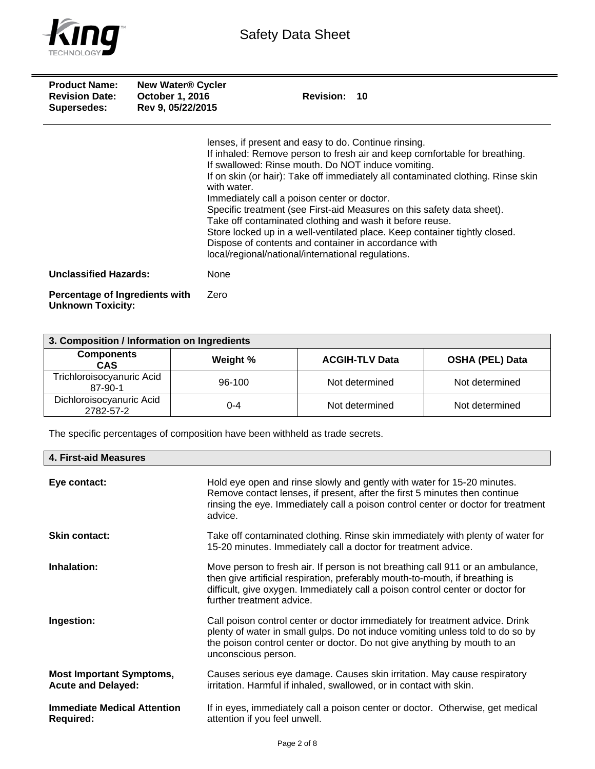

| <b>Product Name:</b><br><b>Revision Date:</b><br>Supersedes: | <b>New Water® Cycler</b><br><b>October 1, 2016</b><br>Rev 9, 05/22/2015 | <b>Revision: 10</b>                                                                                                                                                                                                                                                                                                                                                                                                                                                                                                                                                                                                                                                          |
|--------------------------------------------------------------|-------------------------------------------------------------------------|------------------------------------------------------------------------------------------------------------------------------------------------------------------------------------------------------------------------------------------------------------------------------------------------------------------------------------------------------------------------------------------------------------------------------------------------------------------------------------------------------------------------------------------------------------------------------------------------------------------------------------------------------------------------------|
|                                                              |                                                                         | lenses, if present and easy to do. Continue rinsing.<br>If inhaled: Remove person to fresh air and keep comfortable for breathing.<br>If swallowed: Rinse mouth. Do NOT induce vomiting.<br>If on skin (or hair): Take off immediately all contaminated clothing. Rinse skin<br>with water.<br>Immediately call a poison center or doctor.<br>Specific treatment (see First-aid Measures on this safety data sheet).<br>Take off contaminated clothing and wash it before reuse.<br>Store locked up in a well-ventilated place. Keep container tightly closed.<br>Dispose of contents and container in accordance with<br>local/regional/national/international regulations. |
| <b>Unclassified Hazards:</b>                                 |                                                                         | None                                                                                                                                                                                                                                                                                                                                                                                                                                                                                                                                                                                                                                                                         |
| Percentage of Ingredients with<br><b>Unknown Toxicity:</b>   |                                                                         | Zero                                                                                                                                                                                                                                                                                                                                                                                                                                                                                                                                                                                                                                                                         |

| 3. Composition / Information on Ingredients |          |                       |                        |
|---------------------------------------------|----------|-----------------------|------------------------|
| <b>Components</b><br><b>CAS</b>             | Weight % | <b>ACGIH-TLV Data</b> | <b>OSHA (PEL) Data</b> |
| Trichloroisocyanuric Acid<br>87-90-1        | 96-100   | Not determined        | Not determined         |
| Dichloroisocyanuric Acid<br>2782-57-2       | 0-4      | Not determined        | Not determined         |

The specific percentages of composition have been withheld as trade secrets.

| <b>4. First-aid Measures</b>                                 |                                                                                                                                                                                                                                                                               |
|--------------------------------------------------------------|-------------------------------------------------------------------------------------------------------------------------------------------------------------------------------------------------------------------------------------------------------------------------------|
| Eye contact:                                                 | Hold eye open and rinse slowly and gently with water for 15-20 minutes.<br>Remove contact lenses, if present, after the first 5 minutes then continue<br>rinsing the eye. Immediately call a poison control center or doctor for treatment<br>advice.                         |
| <b>Skin contact:</b>                                         | Take off contaminated clothing. Rinse skin immediately with plenty of water for<br>15-20 minutes. Immediately call a doctor for treatment advice.                                                                                                                             |
| Inhalation:                                                  | Move person to fresh air. If person is not breathing call 911 or an ambulance,<br>then give artificial respiration, preferably mouth-to-mouth, if breathing is<br>difficult, give oxygen. Immediately call a poison control center or doctor for<br>further treatment advice. |
| Ingestion:                                                   | Call poison control center or doctor immediately for treatment advice. Drink<br>plenty of water in small gulps. Do not induce vomiting unless told to do so by<br>the poison control center or doctor. Do not give anything by mouth to an<br>unconscious person.             |
| <b>Most Important Symptoms,</b><br><b>Acute and Delayed:</b> | Causes serious eye damage. Causes skin irritation. May cause respiratory<br>irritation. Harmful if inhaled, swallowed, or in contact with skin.                                                                                                                               |
| <b>Immediate Medical Attention</b><br><b>Required:</b>       | If in eyes, immediately call a poison center or doctor. Otherwise, get medical<br>attention if you feel unwell.                                                                                                                                                               |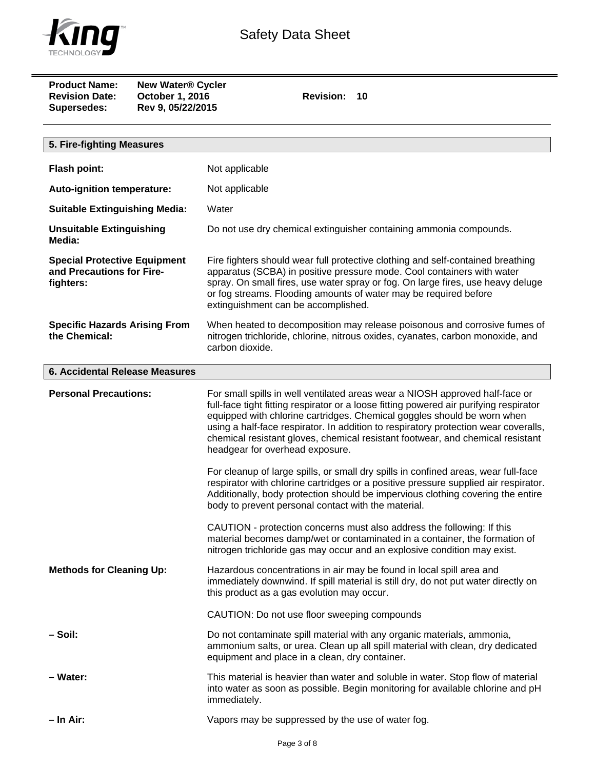

| <b>Product Name:</b>  | <b>New Water® Cycler</b> |
|-----------------------|--------------------------|
| <b>Revision Date:</b> | <b>October 1, 2016</b>   |
| <b>Supersedes:</b>    | Rev 9, 05/22/2015        |

**Revision: 10** 

| 5. Fire-fighting Measures                                                     |                                                                                                                                                                                                                                                                                                                                                                                                                                                                                                                                                                                                                                                                                                                               |
|-------------------------------------------------------------------------------|-------------------------------------------------------------------------------------------------------------------------------------------------------------------------------------------------------------------------------------------------------------------------------------------------------------------------------------------------------------------------------------------------------------------------------------------------------------------------------------------------------------------------------------------------------------------------------------------------------------------------------------------------------------------------------------------------------------------------------|
| Flash point:                                                                  | Not applicable                                                                                                                                                                                                                                                                                                                                                                                                                                                                                                                                                                                                                                                                                                                |
|                                                                               |                                                                                                                                                                                                                                                                                                                                                                                                                                                                                                                                                                                                                                                                                                                               |
| <b>Auto-ignition temperature:</b>                                             | Not applicable                                                                                                                                                                                                                                                                                                                                                                                                                                                                                                                                                                                                                                                                                                                |
| <b>Suitable Extinguishing Media:</b>                                          | Water                                                                                                                                                                                                                                                                                                                                                                                                                                                                                                                                                                                                                                                                                                                         |
| <b>Unsuitable Extinguishing</b><br>Media:                                     | Do not use dry chemical extinguisher containing ammonia compounds.                                                                                                                                                                                                                                                                                                                                                                                                                                                                                                                                                                                                                                                            |
| <b>Special Protective Equipment</b><br>and Precautions for Fire-<br>fighters: | Fire fighters should wear full protective clothing and self-contained breathing<br>apparatus (SCBA) in positive pressure mode. Cool containers with water<br>spray. On small fires, use water spray or fog. On large fires, use heavy deluge<br>or fog streams. Flooding amounts of water may be required before<br>extinguishment can be accomplished.                                                                                                                                                                                                                                                                                                                                                                       |
| <b>Specific Hazards Arising From</b><br>the Chemical:                         | When heated to decomposition may release poisonous and corrosive fumes of<br>nitrogen trichloride, chlorine, nitrous oxides, cyanates, carbon monoxide, and<br>carbon dioxide.                                                                                                                                                                                                                                                                                                                                                                                                                                                                                                                                                |
| <b>6. Accidental Release Measures</b>                                         |                                                                                                                                                                                                                                                                                                                                                                                                                                                                                                                                                                                                                                                                                                                               |
| <b>Personal Precautions:</b>                                                  | For small spills in well ventilated areas wear a NIOSH approved half-face or<br>full-face tight fitting respirator or a loose fitting powered air purifying respirator<br>equipped with chlorine cartridges. Chemical goggles should be worn when<br>using a half-face respirator. In addition to respiratory protection wear coveralls,<br>chemical resistant gloves, chemical resistant footwear, and chemical resistant<br>headgear for overhead exposure.<br>For cleanup of large spills, or small dry spills in confined areas, wear full-face<br>respirator with chlorine cartridges or a positive pressure supplied air respirator.<br>Additionally, body protection should be impervious clothing covering the entire |
|                                                                               | body to prevent personal contact with the material.<br>CAUTION - protection concerns must also address the following: If this<br>material becomes damp/wet or contaminated in a container, the formation of<br>nitrogen trichloride gas may occur and an explosive condition may exist.                                                                                                                                                                                                                                                                                                                                                                                                                                       |
| <b>Methods for Cleaning Up:</b>                                               | Hazardous concentrations in air may be found in local spill area and<br>immediately downwind. If spill material is still dry, do not put water directly on<br>this product as a gas evolution may occur.                                                                                                                                                                                                                                                                                                                                                                                                                                                                                                                      |
|                                                                               | CAUTION: Do not use floor sweeping compounds                                                                                                                                                                                                                                                                                                                                                                                                                                                                                                                                                                                                                                                                                  |
| – Soil:                                                                       | Do not contaminate spill material with any organic materials, ammonia,<br>ammonium salts, or urea. Clean up all spill material with clean, dry dedicated<br>equipment and place in a clean, dry container.                                                                                                                                                                                                                                                                                                                                                                                                                                                                                                                    |
| - Water:                                                                      | This material is heavier than water and soluble in water. Stop flow of material<br>into water as soon as possible. Begin monitoring for available chlorine and pH<br>immediately.                                                                                                                                                                                                                                                                                                                                                                                                                                                                                                                                             |
| – In Air:                                                                     | Vapors may be suppressed by the use of water fog.                                                                                                                                                                                                                                                                                                                                                                                                                                                                                                                                                                                                                                                                             |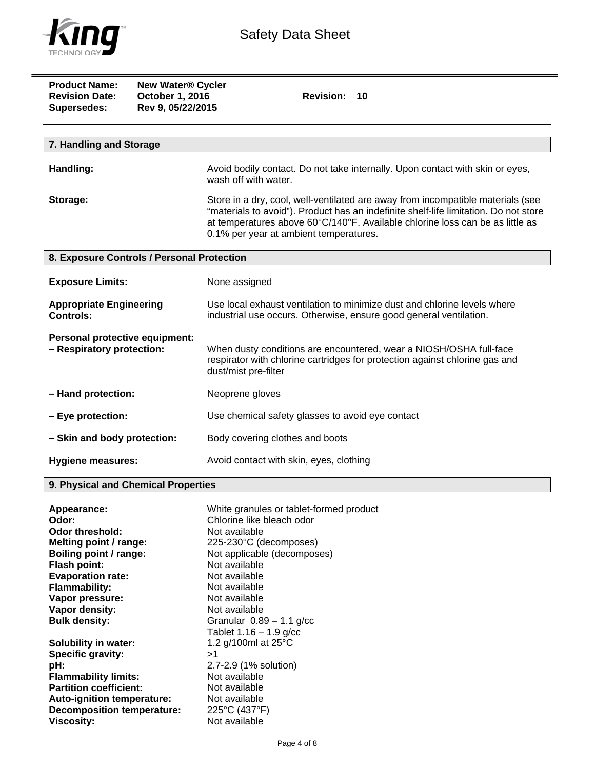

| <b>Product Name:</b><br><b>Revision Date:</b><br>Supersedes: | <b>New Water® Cycler</b><br>October 1, 2016<br>Rev 9, 05/22/2015 | <b>Revision:</b><br>10                                                                                                                                                                                                                                                                             |
|--------------------------------------------------------------|------------------------------------------------------------------|----------------------------------------------------------------------------------------------------------------------------------------------------------------------------------------------------------------------------------------------------------------------------------------------------|
| 7. Handling and Storage                                      |                                                                  |                                                                                                                                                                                                                                                                                                    |
| Handling:                                                    |                                                                  | Avoid bodily contact. Do not take internally. Upon contact with skin or eyes,<br>wash off with water.                                                                                                                                                                                              |
| Storage:                                                     |                                                                  | Store in a dry, cool, well-ventilated are away from incompatible materials (see<br>"materials to avoid"). Product has an indefinite shelf-life limitation. Do not store<br>at temperatures above 60°C/140°F. Available chlorine loss can be as little as<br>0.1% per year at ambient temperatures. |
| 8. Exposure Controls / Personal Protection                   |                                                                  |                                                                                                                                                                                                                                                                                                    |
| <b>Exposure Limits:</b>                                      |                                                                  | None assigned                                                                                                                                                                                                                                                                                      |
| <b>Appropriate Engineering</b><br><b>Controls:</b>           |                                                                  | Use local exhaust ventilation to minimize dust and chlorine levels where<br>industrial use occurs. Otherwise, ensure good general ventilation.                                                                                                                                                     |
| Personal protective equipment:<br>- Respiratory protection:  |                                                                  | When dusty conditions are encountered, wear a NIOSH/OSHA full-face<br>respirator with chlorine cartridges for protection against chlorine gas and<br>dust/mist pre-filter                                                                                                                          |
| - Hand protection:                                           |                                                                  | Neoprene gloves                                                                                                                                                                                                                                                                                    |
| - Eye protection:                                            |                                                                  | Use chemical safety glasses to avoid eye contact                                                                                                                                                                                                                                                   |
| - Skin and body protection:                                  |                                                                  | Body covering clothes and boots                                                                                                                                                                                                                                                                    |
| <b>Hygiene measures:</b>                                     |                                                                  | Avoid contact with skin, eyes, clothing                                                                                                                                                                                                                                                            |

## **9. Physical and Chemical Properties**

| Appearance:                       | White granules or tablet-formed product |
|-----------------------------------|-----------------------------------------|
| Odor:                             | Chlorine like bleach odor               |
| Odor threshold:                   | Not available                           |
| Melting point / range:            | 225-230°C (decomposes)                  |
| Boiling point / range:            | Not applicable (decomposes)             |
| <b>Flash point:</b>               | Not available                           |
| <b>Evaporation rate:</b>          | Not available                           |
| <b>Flammability:</b>              | Not available                           |
| Vapor pressure:                   | Not available                           |
| Vapor density:                    | Not available                           |
| <b>Bulk density:</b>              | Granular $0.89 - 1.1$ g/cc              |
|                                   | Tablet $1.16 - 1.9$ g/cc                |
| <b>Solubility in water:</b>       | 1.2 g/100ml at 25°C                     |
| Specific gravity:                 | >1                                      |
| pH:                               | 2.7-2.9 (1% solution)                   |
| <b>Flammability limits:</b>       | Not available                           |
| <b>Partition coefficient:</b>     | Not available                           |
| Auto-ignition temperature:        | Not available                           |
| <b>Decomposition temperature:</b> | 225°C (437°F)                           |
| Viscosity:                        | Not available                           |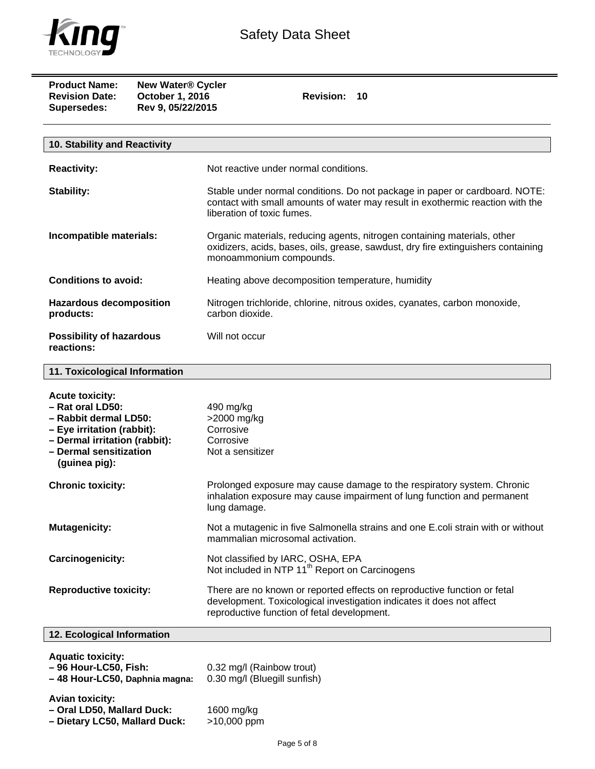

| <b>Product Name:</b><br><b>New Water® Cycler</b><br>October 1, 2016<br><b>Revision Date:</b><br>Rev 9, 05/22/2015<br><b>Supersedes:</b>                                       | Revision: 10                                                                                                                                                                                     |
|-------------------------------------------------------------------------------------------------------------------------------------------------------------------------------|--------------------------------------------------------------------------------------------------------------------------------------------------------------------------------------------------|
| 10. Stability and Reactivity                                                                                                                                                  |                                                                                                                                                                                                  |
| <b>Reactivity:</b>                                                                                                                                                            | Not reactive under normal conditions.                                                                                                                                                            |
| <b>Stability:</b>                                                                                                                                                             | Stable under normal conditions. Do not package in paper or cardboard. NOTE:<br>contact with small amounts of water may result in exothermic reaction with the<br>liberation of toxic fumes.      |
| Incompatible materials:                                                                                                                                                       | Organic materials, reducing agents, nitrogen containing materials, other<br>oxidizers, acids, bases, oils, grease, sawdust, dry fire extinguishers containing<br>monoammonium compounds.         |
| <b>Conditions to avoid:</b>                                                                                                                                                   | Heating above decomposition temperature, humidity                                                                                                                                                |
| <b>Hazardous decomposition</b><br>products:                                                                                                                                   | Nitrogen trichloride, chlorine, nitrous oxides, cyanates, carbon monoxide,<br>carbon dioxide.                                                                                                    |
| <b>Possibility of hazardous</b><br>reactions:                                                                                                                                 | Will not occur                                                                                                                                                                                   |
| 11. Toxicological Information                                                                                                                                                 |                                                                                                                                                                                                  |
| <b>Acute toxicity:</b><br>- Rat oral LD50:<br>- Rabbit dermal LD50:<br>- Eye irritation (rabbit):<br>- Dermal irritation (rabbit):<br>- Dermal sensitization<br>(guinea pig): | 490 mg/kg<br>>2000 mg/kg<br>Corrosive<br>Corrosive<br>Not a sensitizer                                                                                                                           |
| <b>Chronic toxicity:</b>                                                                                                                                                      | Prolonged exposure may cause damage to the respiratory system. Chronic<br>inhalation exposure may cause impairment of lung function and permanent<br>lung damage.                                |
| <b>Mutagenicity:</b>                                                                                                                                                          | Not a mutagenic in five Salmonella strains and one E.coli strain with or without<br>mammalian microsomal activation.                                                                             |
| <b>Carcinogenicity:</b>                                                                                                                                                       | Not classified by IARC, OSHA, EPA<br>Not included in NTP 11 <sup>th</sup> Report on Carcinogens                                                                                                  |
| <b>Reproductive toxicity:</b>                                                                                                                                                 | There are no known or reported effects on reproductive function or fetal<br>development. Toxicological investigation indicates it does not affect<br>reproductive function of fetal development. |
| 12. Ecological Information                                                                                                                                                    |                                                                                                                                                                                                  |
| <b>Aquatic toxicity:</b><br>- 96 Hour-LC50, Fish:<br>- 48 Hour-LC50, Daphnia magna:                                                                                           | 0.32 mg/l (Rainbow trout)<br>0.30 mg/l (Bluegill sunfish)                                                                                                                                        |
| <b>Avian toxicity:</b><br>- Oral LD50, Mallard Duck:<br>- Dietary LC50, Mallard Duck:                                                                                         | 1600 mg/kg<br>>10,000 ppm                                                                                                                                                                        |

Page 5 of 8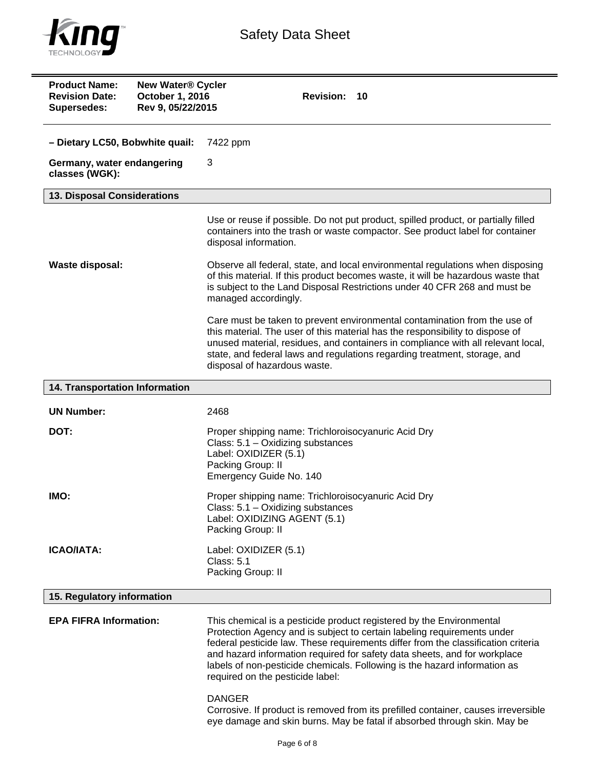

| <b>Product Name:</b><br><b>New Water® Cycler</b><br><b>Revision Date:</b><br>October 1, 2016<br>Rev 9, 05/22/2015<br><b>Supersedes:</b> | Revision: 10                                                                                                                                                                                                                                                                                                                                                                                                                       |
|-----------------------------------------------------------------------------------------------------------------------------------------|------------------------------------------------------------------------------------------------------------------------------------------------------------------------------------------------------------------------------------------------------------------------------------------------------------------------------------------------------------------------------------------------------------------------------------|
| - Dietary LC50, Bobwhite quail:                                                                                                         | 7422 ppm                                                                                                                                                                                                                                                                                                                                                                                                                           |
| Germany, water endangering<br>classes (WGK):                                                                                            | 3                                                                                                                                                                                                                                                                                                                                                                                                                                  |
| 13. Disposal Considerations                                                                                                             |                                                                                                                                                                                                                                                                                                                                                                                                                                    |
|                                                                                                                                         | Use or reuse if possible. Do not put product, spilled product, or partially filled<br>containers into the trash or waste compactor. See product label for container<br>disposal information.                                                                                                                                                                                                                                       |
| <b>Waste disposal:</b>                                                                                                                  | Observe all federal, state, and local environmental regulations when disposing<br>of this material. If this product becomes waste, it will be hazardous waste that<br>is subject to the Land Disposal Restrictions under 40 CFR 268 and must be<br>managed accordingly.                                                                                                                                                            |
|                                                                                                                                         | Care must be taken to prevent environmental contamination from the use of<br>this material. The user of this material has the responsibility to dispose of<br>unused material, residues, and containers in compliance with all relevant local,<br>state, and federal laws and regulations regarding treatment, storage, and<br>disposal of hazardous waste.                                                                        |
| 14. Transportation Information                                                                                                          |                                                                                                                                                                                                                                                                                                                                                                                                                                    |
| <b>UN Number:</b>                                                                                                                       | 2468                                                                                                                                                                                                                                                                                                                                                                                                                               |
| DOT:                                                                                                                                    | Proper shipping name: Trichloroisocyanuric Acid Dry<br>Class: 5.1 - Oxidizing substances<br>Label: OXIDIZER (5.1)<br>Packing Group: II<br>Emergency Guide No. 140                                                                                                                                                                                                                                                                  |
| IMO:                                                                                                                                    | Proper shipping name: Trichloroisocyanuric Acid Dry<br>Class: 5.1 - Oxidizing substances<br>Label: OXIDIZING AGENT (5.1)<br>Packing Group: II                                                                                                                                                                                                                                                                                      |
| <b>ICAO/IATA:</b>                                                                                                                       | Label: OXIDIZER (5.1)<br><b>Class: 5.1</b><br>Packing Group: II                                                                                                                                                                                                                                                                                                                                                                    |
| 15. Regulatory information                                                                                                              |                                                                                                                                                                                                                                                                                                                                                                                                                                    |
| <b>EPA FIFRA Information:</b>                                                                                                           | This chemical is a pesticide product registered by the Environmental<br>Protection Agency and is subject to certain labeling requirements under<br>federal pesticide law. These requirements differ from the classification criteria<br>and hazard information required for safety data sheets, and for workplace<br>labels of non-pesticide chemicals. Following is the hazard information as<br>required on the pesticide label: |
|                                                                                                                                         | <b>DANGER</b>                                                                                                                                                                                                                                                                                                                                                                                                                      |

Corrosive. If product is removed from its prefilled container, causes irreversible eye damage and skin burns. May be fatal if absorbed through skin. May be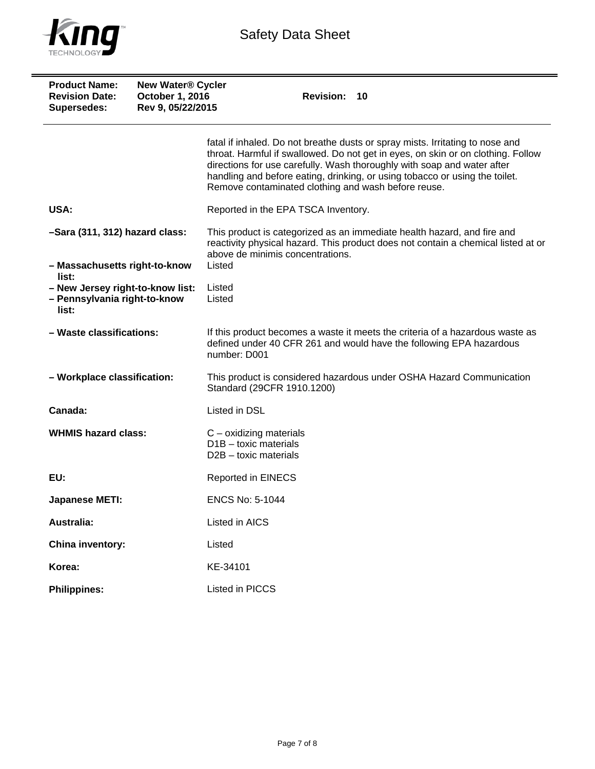

| <b>Product Name:</b><br><b>Revision Date:</b><br>Supersedes:              | <b>New Water® Cycler</b><br>October 1, 2016<br>Rev 9, 05/22/2015 | Revision: 10                                                                                                                                                                                                                                                                                                                                                                       |  |
|---------------------------------------------------------------------------|------------------------------------------------------------------|------------------------------------------------------------------------------------------------------------------------------------------------------------------------------------------------------------------------------------------------------------------------------------------------------------------------------------------------------------------------------------|--|
|                                                                           |                                                                  | fatal if inhaled. Do not breathe dusts or spray mists. Irritating to nose and<br>throat. Harmful if swallowed. Do not get in eyes, on skin or on clothing. Follow<br>directions for use carefully. Wash thoroughly with soap and water after<br>handling and before eating, drinking, or using tobacco or using the toilet.<br>Remove contaminated clothing and wash before reuse. |  |
| USA:                                                                      |                                                                  | Reported in the EPA TSCA Inventory.                                                                                                                                                                                                                                                                                                                                                |  |
| -Sara (311, 312) hazard class:                                            |                                                                  | This product is categorized as an immediate health hazard, and fire and<br>reactivity physical hazard. This product does not contain a chemical listed at or<br>above de minimis concentrations.                                                                                                                                                                                   |  |
| - Massachusetts right-to-know<br>list:                                    |                                                                  | Listed                                                                                                                                                                                                                                                                                                                                                                             |  |
| - New Jersey right-to-know list:<br>- Pennsylvania right-to-know<br>list: |                                                                  | Listed<br>Listed                                                                                                                                                                                                                                                                                                                                                                   |  |
| - Waste classifications:                                                  |                                                                  | If this product becomes a waste it meets the criteria of a hazardous waste as<br>defined under 40 CFR 261 and would have the following EPA hazardous<br>number: D001                                                                                                                                                                                                               |  |
| - Workplace classification:                                               |                                                                  | This product is considered hazardous under OSHA Hazard Communication<br>Standard (29CFR 1910.1200)                                                                                                                                                                                                                                                                                 |  |
| Canada:                                                                   |                                                                  | Listed in DSL                                                                                                                                                                                                                                                                                                                                                                      |  |
| <b>WHMIS hazard class:</b>                                                |                                                                  | $C$ – oxidizing materials<br>$D1B -$ toxic materials<br>D <sub>2</sub> B – toxic materials                                                                                                                                                                                                                                                                                         |  |
| EU:                                                                       |                                                                  | <b>Reported in EINECS</b>                                                                                                                                                                                                                                                                                                                                                          |  |
| <b>Japanese METI:</b>                                                     |                                                                  | <b>ENCS No: 5-1044</b>                                                                                                                                                                                                                                                                                                                                                             |  |
| <b>Australia:</b>                                                         |                                                                  | Listed in AICS                                                                                                                                                                                                                                                                                                                                                                     |  |
| China inventory:                                                          |                                                                  | Listed                                                                                                                                                                                                                                                                                                                                                                             |  |
| Korea:                                                                    |                                                                  | KE-34101                                                                                                                                                                                                                                                                                                                                                                           |  |
| <b>Philippines:</b>                                                       |                                                                  | Listed in PICCS                                                                                                                                                                                                                                                                                                                                                                    |  |